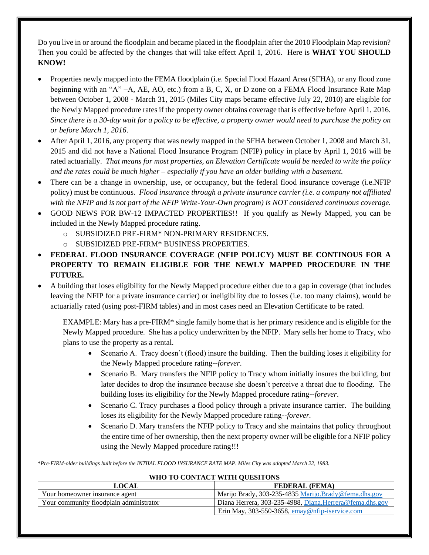Do you live in or around the floodplain and became placed in the floodplain after the 2010 Floodplain Map revision? Then you could be affected by the changes that will take effect April 1, 2016. Here is **WHAT YOU SHOULD KNOW!**

- Properties newly mapped into the FEMA floodplain (i.e. Special Flood Hazard Area (SFHA), or any flood zone beginning with an "A" –A, AE, AO, etc.) from a B, C, X, or D zone on a FEMA Flood Insurance Rate Map between October 1, 2008 - March 31, 2015 (Miles City maps became effective July 22, 2010) are eligible for the Newly Mapped procedure rates if the property owner obtains coverage that is effective before April 1, 2016. *Since there is a 30-day wait for a policy to be effective, a property owner would need to purchase the policy on or before March 1, 2016*.
- After April 1, 2016, any property that was newly mapped in the SFHA between October 1, 2008 and March 31, 2015 and did not have a National Flood Insurance Program (NFIP) policy in place by April 1, 2016 will be rated actuarially. *That means for most properties, an Elevation Certificate would be needed to write the policy and the rates could be much higher – especially if you have an older building with a basement.*
- There can be a change in ownership, use, or occupancy, but the federal flood insurance coverage (i.e.NFIP policy) must be continuous. *Flood insurance through a private insurance carrier (i.e. a company not affiliated with the NFIP and is not part of the NFIP Write-Your-Own program) is NOT considered continuous coverage.*
- GOOD NEWS FOR BW-12 IMPACTED PROPERTIES!! If you qualify as Newly Mapped, you can be included in the Newly Mapped procedure rating.
	- o SUBSIDIZED PRE-FIRM\* NON-PRIMARY RESIDENCES.
	- o SUBSIDIZED PRE-FIRM\* BUSINESS PROPERTIES.
- **FEDERAL FLOOD INSURANCE COVERAGE (NFIP POLICY) MUST BE CONTINOUS FOR A PROPERTY TO REMAIN ELIGIBLE FOR THE NEWLY MAPPED PROCEDURE IN THE FUTURE.**
- A building that loses eligibility for the Newly Mapped procedure either due to a gap in coverage (that includes leaving the NFIP for a private insurance carrier) or ineligibility due to losses (i.e. too many claims), would be actuarially rated (using post-FIRM tables) and in most cases need an Elevation Certificate to be rated.

EXAMPLE: Mary has a pre-FIRM\* single family home that is her primary residence and is eligible for the Newly Mapped procedure. She has a policy underwritten by the NFIP. Mary sells her home to Tracy, who plans to use the property as a rental.

- Scenario A. Tracy doesn't (flood) insure the building. Then the building loses it eligibility for the Newly Mapped procedure rating--*forever*.
- Scenario B. Mary transfers the NFIP policy to Tracy whom initially insures the building, but later decides to drop the insurance because she doesn't perceive a threat due to flooding. The building loses its eligibility for the Newly Mapped procedure rating--*forever*.
- Scenario C. Tracy purchases a flood policy through a private insurance carrier. The building loses its eligibility for the Newly Mapped procedure rating--*forever.*
- Scenario D. Mary transfers the NFIP policy to Tracy and she maintains that policy throughout the entire time of her ownership, then the next property owner will be eligible for a NFIP policy using the Newly Mapped procedure rating!!!

\**Pre-FIRM-older buildings built before the INTIIAL FLOOD INSURANCE RATE MAP. Miles City was adopted March 22, 1983.*

## **LOCAL FEDERAL (FEMA)** Your homeowner insurance agent Marijo Brady, 303-235-4835 [Marijo.Brady@fema.dhs.gov](mailto:Marijo.Brady@fema.dhs.gov) Your community floodplain administrator Diana Herrera, 303-235-4988, [Diana.Herrera@fema.dhs.gov](mailto:Diana.Herrera@fema.dhs.gov) Erin May, 303-550-3658, [emay@nfip-iservice.com](mailto:emay@nfip-iservice.com)

## **WHO TO CONTACT WITH QUESITONS**